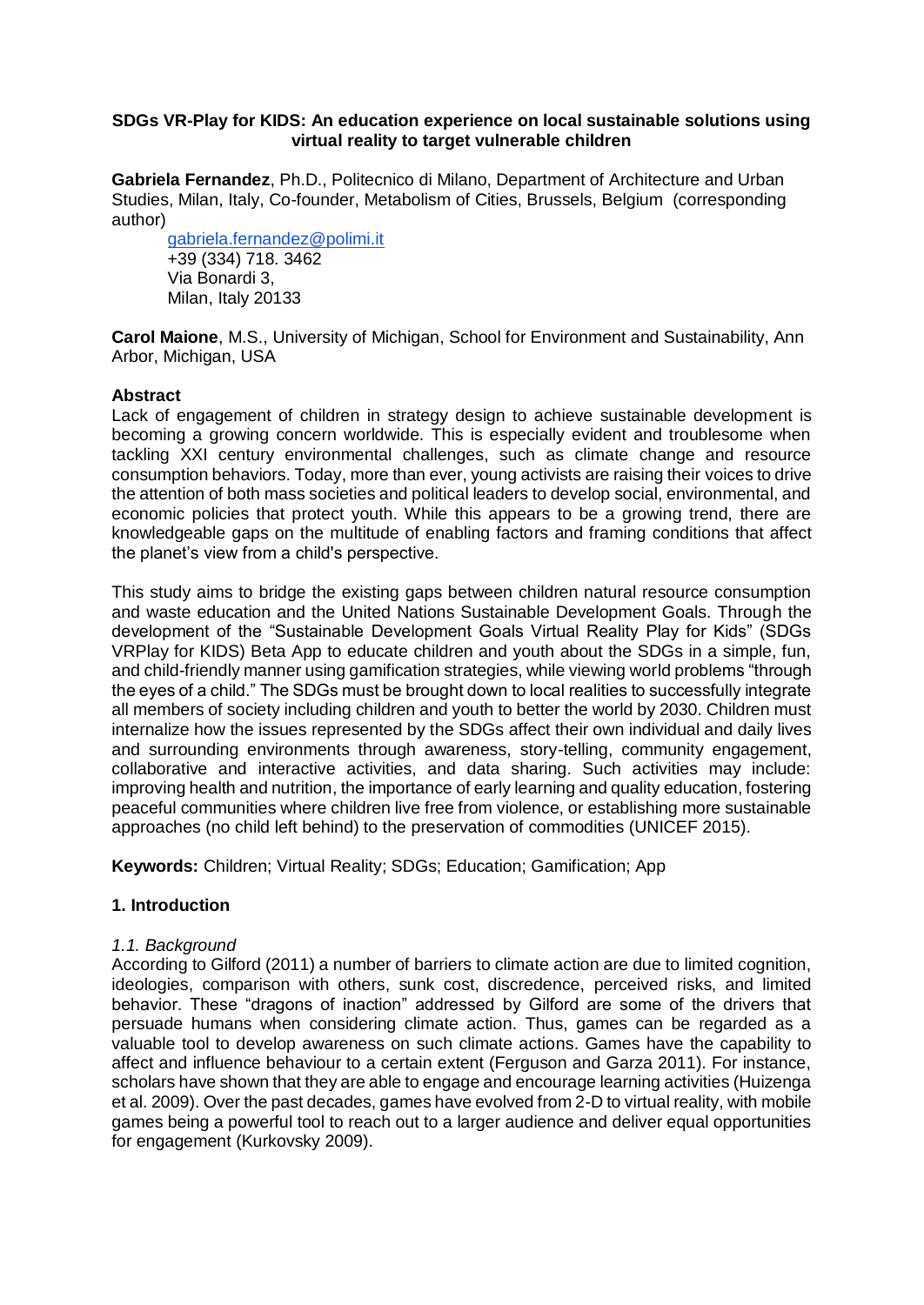### **SDGs VR-Play for KIDS: An education experience on local sustainable solutions using virtual reality to target vulnerable children**

**Gabriela Fernandez**, Ph.D., Politecnico di Milano, Department of Architecture and Urban Studies, Milan, Italy, Co-founder, Metabolism of Cities, Brussels, Belgium (corresponding author)

[gabriela.fernandez@polimi.it](mailto:gabriela.fernandez@polimi.it) +39 (334) 718. 3462 Via Bonardi 3, Milan, Italy 20133

**Carol Maione**, M.S., University of Michigan, School for Environment and Sustainability, Ann Arbor, Michigan, USA

### **Abstract**

Lack of engagement of children in strategy design to achieve sustainable development is becoming a growing concern worldwide. This is especially evident and troublesome when tackling XXI century environmental challenges, such as climate change and resource consumption behaviors. Today, more than ever, young activists are raising their voices to drive the attention of both mass societies and political leaders to develop social, environmental, and economic policies that protect youth. While this appears to be a growing trend, there are knowledgeable gaps on the multitude of enabling factors and framing conditions that affect the planet's view from a child's perspective.

This study aims to bridge the existing gaps between children natural resource consumption and waste education and the United Nations Sustainable Development Goals. Through the development of the "Sustainable Development Goals Virtual Reality Play for Kids" (SDGs VRPlay for KIDS) Beta App to educate children and youth about the SDGs in a simple, fun, and child-friendly manner using gamification strategies, while viewing world problems "through the eyes of a child." The SDGs must be brought down to local realities to successfully integrate all members of society including children and youth to better the world by 2030. Children must internalize how the issues represented by the SDGs affect their own individual and daily lives and surrounding environments through awareness, story-telling, community engagement, collaborative and interactive activities, and data sharing. Such activities may include: improving health and nutrition, the importance of early learning and quality education, fostering peaceful communities where children live free from violence, or establishing more sustainable approaches (no child left behind) to the preservation of commodities (UNICEF 2015).

**Keywords:** Children; Virtual Reality; SDGs; Education; Gamification; App

### **1. Introduction**

### *1.1. Background*

According to Gilford (2011) a number of barriers to climate action are due to limited cognition, ideologies, comparison with others, sunk cost, discredence, perceived risks, and limited behavior. These "dragons of inaction" addressed by Gilford are some of the drivers that persuade humans when considering climate action. Thus, games can be regarded as a valuable tool to develop awareness on such climate actions. Games have the capability to affect and influence behaviour to a certain extent (Ferguson and Garza 2011). For instance, scholars have shown that they are able to engage and encourage learning activities (Huizenga et al. 2009). Over the past decades, games have evolved from 2-D to virtual reality, with mobile games being a powerful tool to reach out to a larger audience and deliver equal opportunities for engagement (Kurkovsky 2009).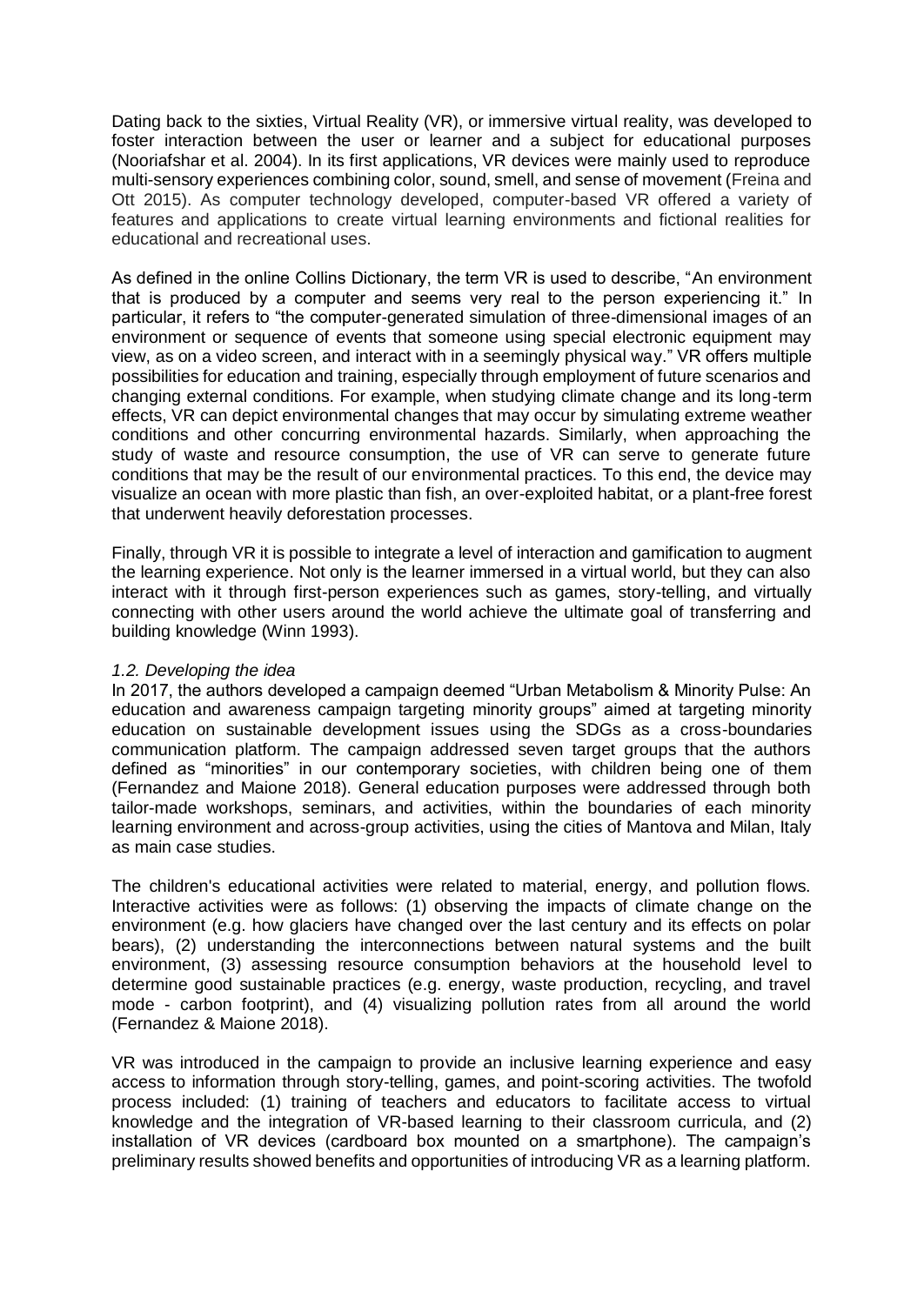Dating back to the sixties, Virtual Reality (VR), or immersive virtual reality, was developed to foster interaction between the user or learner and a subject for educational purposes (Nooriafshar et al. 2004). In its first applications, VR devices were mainly used to reproduce multi-sensory experiences combining color, sound, smell, and sense of movement (Freina and Ott 2015). As computer technology developed, computer-based VR offered a variety of features and applications to create virtual learning environments and fictional realities for educational and recreational uses.

As defined in the online Collins Dictionary, the term VR is used to describe, "An environment that is produced by a computer and seems very real to the person experiencing it." In particular, it refers to "the computer-generated simulation of three-dimensional images of an environment or sequence of events that someone using special electronic equipment may view, as on a video screen, and interact with in a seemingly physical way." VR offers multiple possibilities for education and training, especially through employment of future scenarios and changing external conditions. For example, when studying climate change and its long-term effects, VR can depict environmental changes that may occur by simulating extreme weather conditions and other concurring environmental hazards. Similarly, when approaching the study of waste and resource consumption, the use of VR can serve to generate future conditions that may be the result of our environmental practices. To this end, the device may visualize an ocean with more plastic than fish, an over-exploited habitat, or a plant-free forest that underwent heavily deforestation processes.

Finally, through VR it is possible to integrate a level of interaction and gamification to augment the learning experience. Not only is the learner immersed in a virtual world, but they can also interact with it through first-person experiences such as games, story-telling, and virtually connecting with other users around the world achieve the ultimate goal of transferring and building knowledge (Winn 1993).

## *1.2. Developing the idea*

In 2017, the authors developed a campaign deemed "Urban Metabolism & Minority Pulse: An education and awareness campaign targeting minority groups" aimed at targeting minority education on sustainable development issues using the SDGs as a cross-boundaries communication platform. The campaign addressed seven target groups that the authors defined as "minorities" in our contemporary societies, with children being one of them (Fernandez and Maione 2018). General education purposes were addressed through both tailor-made workshops, seminars, and activities, within the boundaries of each minority learning environment and across-group activities, using the cities of Mantova and Milan, Italy as main case studies.

The children's educational activities were related to material, energy, and pollution flows. Interactive activities were as follows: (1) observing the impacts of climate change on the environment (e.g. how glaciers have changed over the last century and its effects on polar bears), (2) understanding the interconnections between natural systems and the built environment, (3) assessing resource consumption behaviors at the household level to determine good sustainable practices (e.g. energy, waste production, recycling, and travel mode - carbon footprint), and (4) visualizing pollution rates from all around the world (Fernandez & Maione 2018).

VR was introduced in the campaign to provide an inclusive learning experience and easy access to information through story-telling, games, and point-scoring activities. The twofold process included: (1) training of teachers and educators to facilitate access to virtual knowledge and the integration of VR-based learning to their classroom curricula, and (2) installation of VR devices (cardboard box mounted on a smartphone). The campaign's preliminary results showed benefits and opportunities of introducing VR as a learning platform.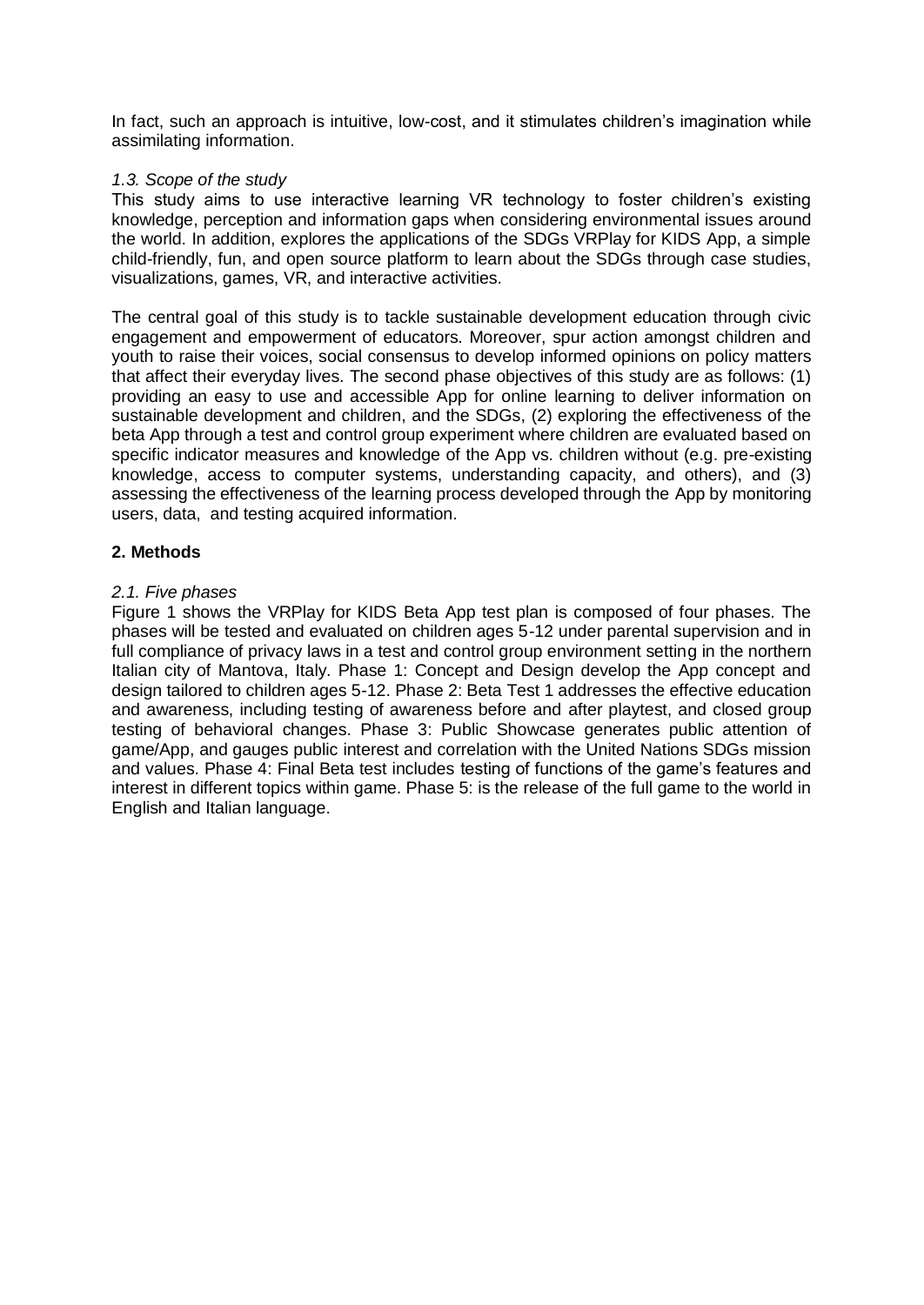In fact, such an approach is intuitive, low-cost, and it stimulates children's imagination while assimilating information.

### *1.3. Scope of the study*

This study aims to use interactive learning VR technology to foster children's existing knowledge, perception and information gaps when considering environmental issues around the world. In addition, explores the applications of the SDGs VRPlay for KIDS App, a simple child-friendly, fun, and open source platform to learn about the SDGs through case studies, visualizations, games, VR, and interactive activities.

The central goal of this study is to tackle sustainable development education through civic engagement and empowerment of educators. Moreover, spur action amongst children and youth to raise their voices, social consensus to develop informed opinions on policy matters that affect their everyday lives. The second phase objectives of this study are as follows: (1) providing an easy to use and accessible App for online learning to deliver information on sustainable development and children, and the SDGs, (2) exploring the effectiveness of the beta App through a test and control group experiment where children are evaluated based on specific indicator measures and knowledge of the App vs. children without (e.g. pre-existing knowledge, access to computer systems, understanding capacity, and others), and (3) assessing the effectiveness of the learning process developed through the App by monitoring users, data, and testing acquired information.

## **2. Methods**

### *2.1. Five phases*

Figure 1 shows the VRPlay for KIDS Beta App test plan is composed of four phases. The phases will be tested and evaluated on children ages 5-12 under parental supervision and in full compliance of privacy laws in a test and control group environment setting in the northern Italian city of Mantova, Italy. Phase 1: Concept and Design develop the App concept and design tailored to children ages 5-12. Phase 2: Beta Test 1 addresses the effective education and awareness, including testing of awareness before and after playtest, and closed group testing of behavioral changes. Phase 3: Public Showcase generates public attention of game/App, and gauges public interest and correlation with the United Nations SDGs mission and values. Phase 4: Final Beta test includes testing of functions of the game's features and interest in different topics within game. Phase 5: is the release of the full game to the world in English and Italian language.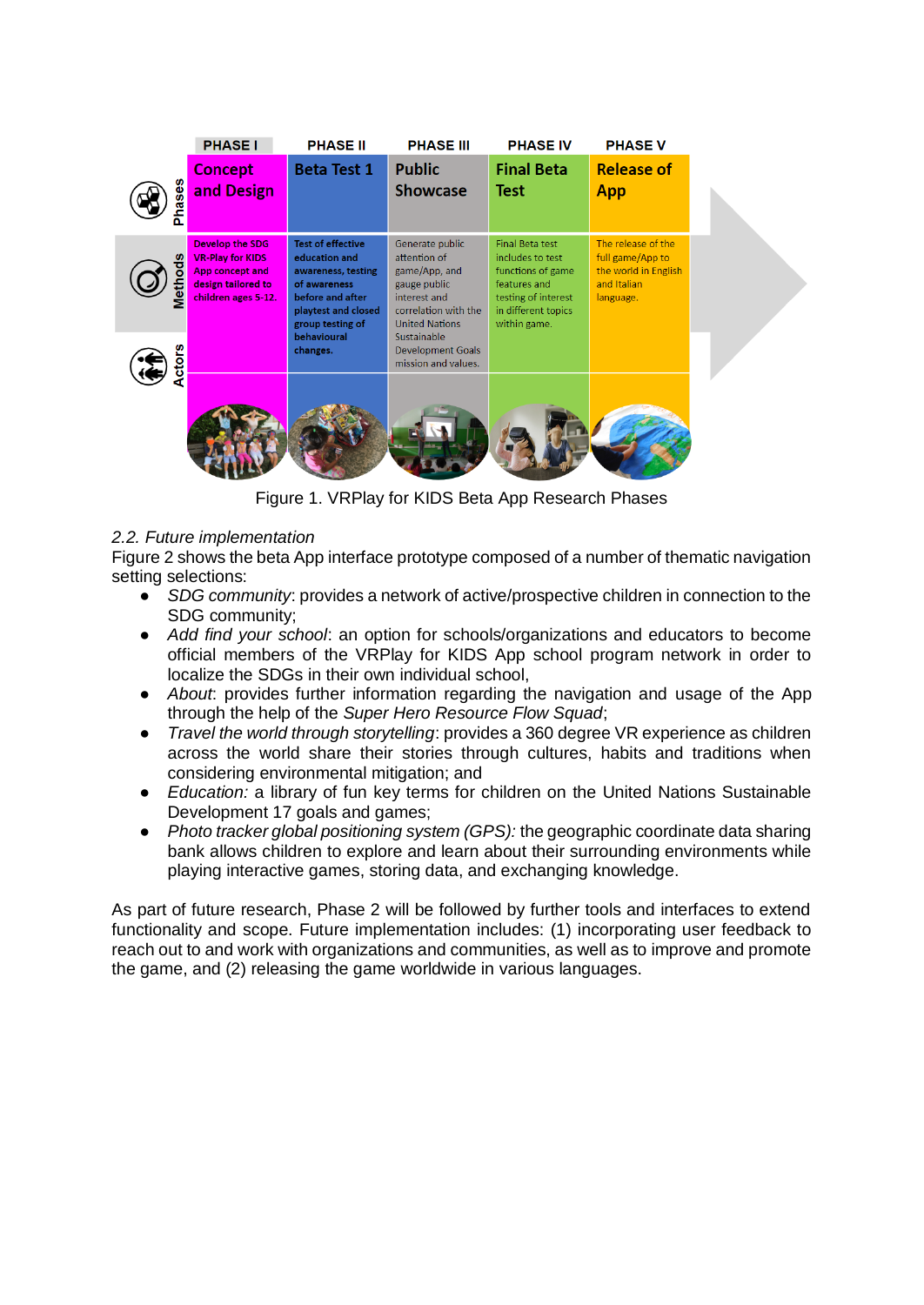|                | <b>PHASE I</b>                                                                                                    | <b>PHASE II</b>                                                                                                                                                           | <b>PHASE III</b>                                                                                                                                                             | <b>PHASE IV</b>                                                                                                                               | <b>PHASE V</b>                                                                             |  |
|----------------|-------------------------------------------------------------------------------------------------------------------|---------------------------------------------------------------------------------------------------------------------------------------------------------------------------|------------------------------------------------------------------------------------------------------------------------------------------------------------------------------|-----------------------------------------------------------------------------------------------------------------------------------------------|--------------------------------------------------------------------------------------------|--|
| ğ,<br>e<br>Ara | Concept<br>and Design                                                                                             | <b>Beta Test 1</b>                                                                                                                                                        | <b>Public</b><br><b>Showcase</b>                                                                                                                                             | <b>Final Beta</b><br>Test                                                                                                                     | <b>Release of</b><br>App                                                                   |  |
| ¶etn           | <b>Develop the SDG</b><br><b>VR-Play for KIDS</b><br>App concept and<br>design tailored to<br>children ages 5-12. | <b>Test of effective</b><br>education and<br>awareness, testing<br>of awareness<br>before and after<br>playtest and closed<br>group testing of<br>behavioural<br>changes. | Generate public<br>attention of<br>game/App, and<br>gauge public<br>interest and<br>correlation with the<br><b>United Nations</b><br>Sustainable<br><b>Development Goals</b> | <b>Final Beta test</b><br>includes to test<br>functions of game<br>features and<br>testing of interest<br>in different topics<br>within game. | The release of the<br>full game/App to<br>the world in English<br>and Italian<br>language. |  |
|                |                                                                                                                   |                                                                                                                                                                           | mission and values.                                                                                                                                                          |                                                                                                                                               |                                                                                            |  |

Figure 1. VRPlay for KIDS Beta App Research Phases

# *2.2. Future implementation*

Figure 2 shows the beta App interface prototype composed of a number of thematic navigation setting selections:

- *SDG community*: provides a network of active/prospective children in connection to the SDG community;
- *Add find your school*: an option for schools/organizations and educators to become official members of the VRPlay for KIDS App school program network in order to localize the SDGs in their own individual school,
- *About*: provides further information regarding the navigation and usage of the App through the help of the *Super Hero Resource Flow Squad*;
- *Travel the world through storytelling*: provides a 360 degree VR experience as children across the world share their stories through cultures, habits and traditions when considering environmental mitigation; and
- *Education:* a library of fun key terms for children on the United Nations Sustainable Development 17 goals and games;
- *Photo tracker global positioning system (GPS):* the geographic coordinate data sharing bank allows children to explore and learn about their surrounding environments while playing interactive games, storing data, and exchanging knowledge.

As part of future research, Phase 2 will be followed by further tools and interfaces to extend functionality and scope. Future implementation includes: (1) incorporating user feedback to reach out to and work with organizations and communities, as well as to improve and promote the game, and (2) releasing the game worldwide in various languages.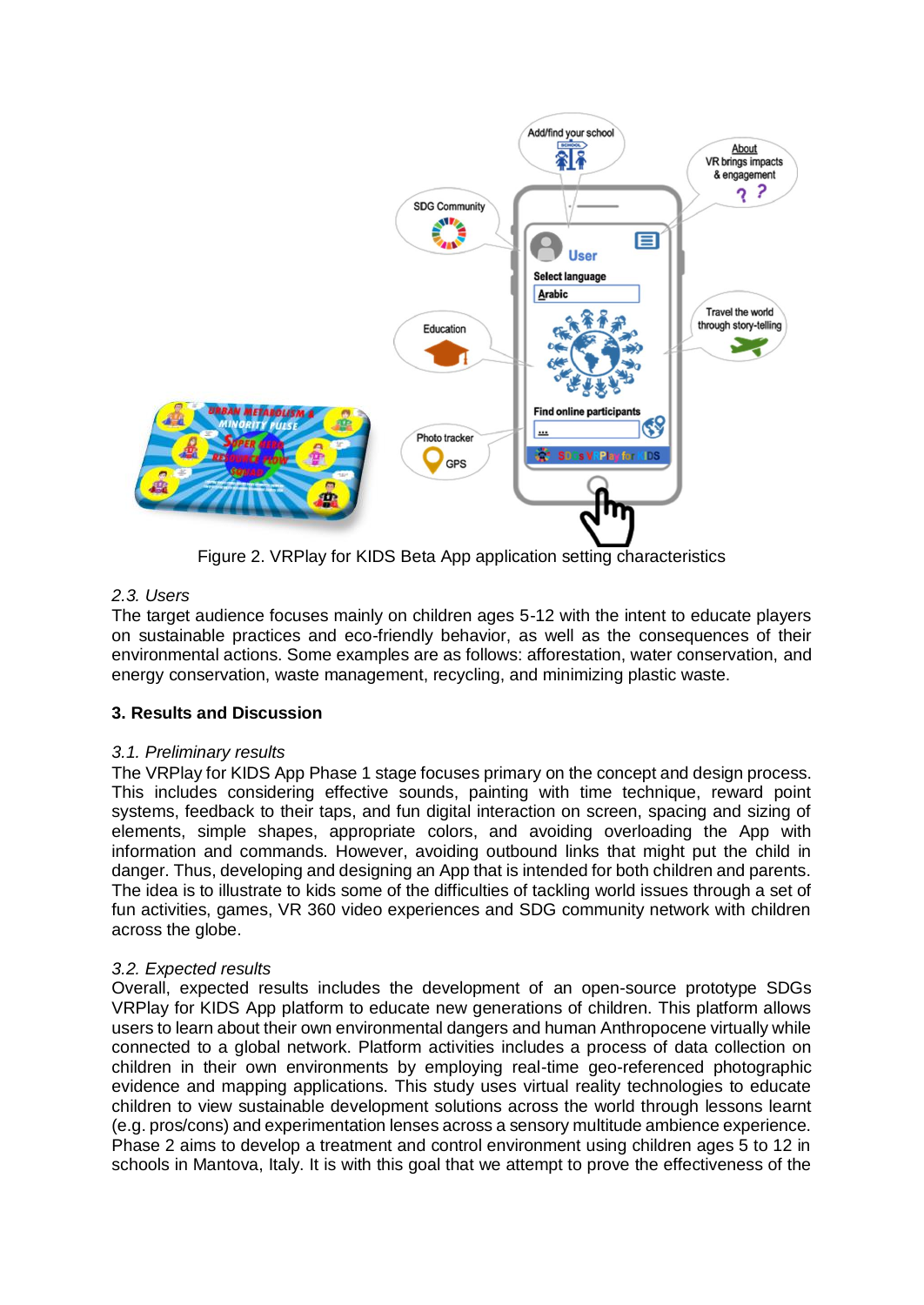

Figure 2. VRPlay for KIDS Beta App application setting characteristics

## *2.3. Users*

The target audience focuses mainly on children ages 5-12 with the intent to educate players on sustainable practices and eco-friendly behavior, as well as the consequences of their environmental actions. Some examples are as follows: afforestation, water conservation, and energy conservation, waste management, recycling, and minimizing plastic waste.

## **3. Results and Discussion**

## *3.1. Preliminary results*

The VRPlay for KIDS App Phase 1 stage focuses primary on the concept and design process. This includes considering effective sounds, painting with time technique, reward point systems, feedback to their taps, and fun digital interaction on screen, spacing and sizing of elements, simple shapes, appropriate colors, and avoiding overloading the App with information and commands. However, avoiding outbound links that might put the child in danger. Thus, developing and designing an App that is intended for both children and parents. The idea is to illustrate to kids some of the difficulties of tackling world issues through a set of fun activities, games, VR 360 video experiences and SDG community network with children across the globe.

## *3.2. Expected results*

Overall, expected results includes the development of an open-source prototype SDGs VRPlay for KIDS App platform to educate new generations of children. This platform allows users to learn about their own environmental dangers and human Anthropocene virtually while connected to a global network. Platform activities includes a process of data collection on children in their own environments by employing real-time geo-referenced photographic evidence and mapping applications. This study uses virtual reality technologies to educate children to view sustainable development solutions across the world through lessons learnt (e.g. pros/cons) and experimentation lenses across a sensory multitude ambience experience. Phase 2 aims to develop a treatment and control environment using children ages 5 to 12 in schools in Mantova, Italy. It is with this goal that we attempt to prove the effectiveness of the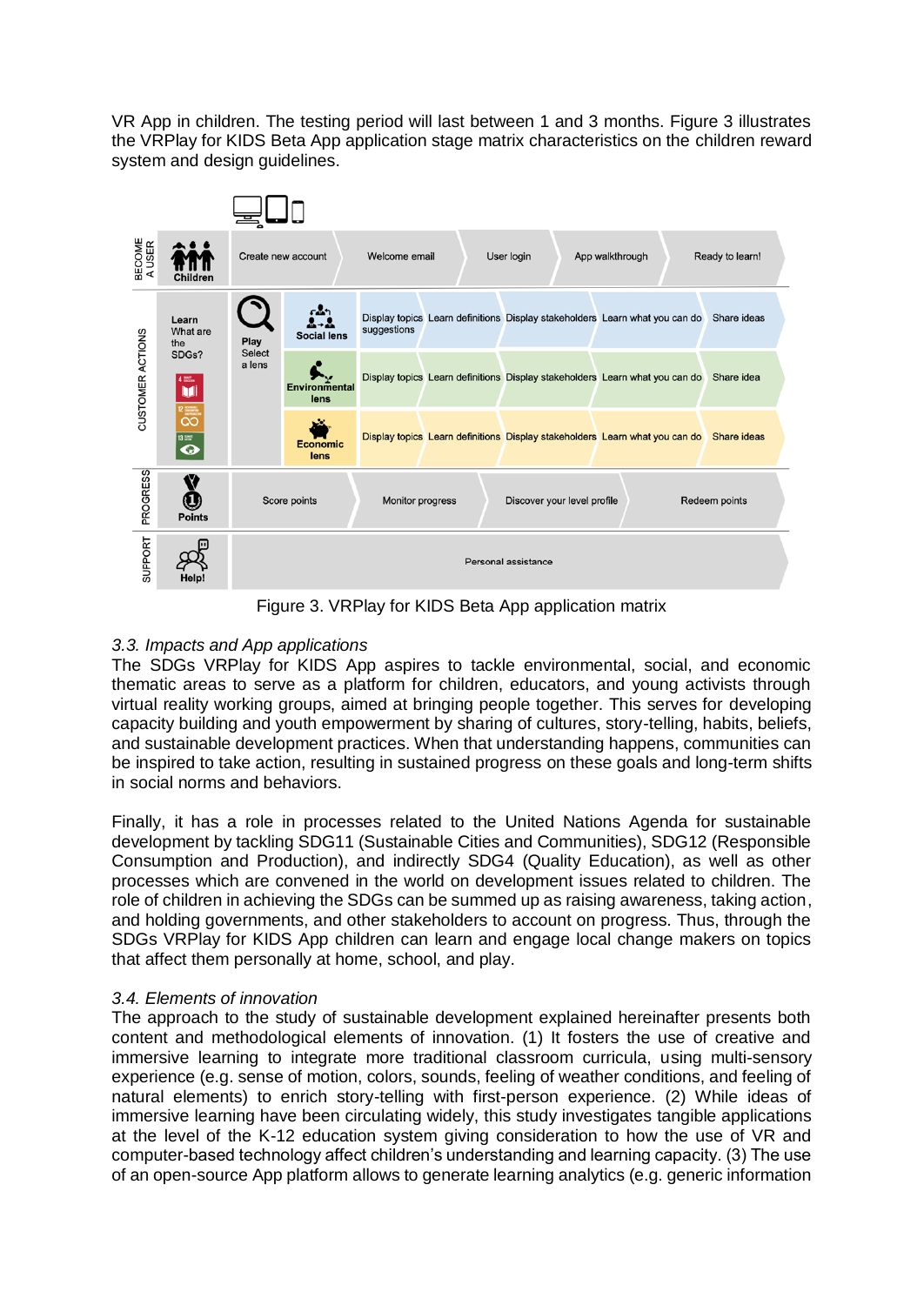VR App in children. The testing period will last between 1 and 3 months. Figure 3 illustrates the VRPlay for KIDS Beta App application stage matrix characteristics on the children reward system and design guidelines.



Figure 3. VRPlay for KIDS Beta App application matrix

# *3.3. Impacts and App applications*

The SDGs VRPlay for KIDS App aspires to tackle environmental, social, and economic thematic areas to serve as a platform for children, educators, and young activists through virtual reality working groups, aimed at bringing people together. This serves for developing capacity building and youth empowerment by sharing of cultures, story-telling, habits, beliefs, and sustainable development practices. When that understanding happens, communities can be inspired to take action, resulting in sustained progress on these goals and long-term shifts in social norms and behaviors.

Finally, it has a role in processes related to the United Nations Agenda for sustainable development by tackling SDG11 (Sustainable Cities and Communities), SDG12 (Responsible Consumption and Production), and indirectly SDG4 (Quality Education), as well as other processes which are convened in the world on development issues related to children. The role of children in achieving the SDGs can be summed up as raising awareness, taking action, and holding governments, and other stakeholders to account on progress. Thus, through the SDGs VRPlay for KIDS App children can learn and engage local change makers on topics that affect them personally at home, school, and play.

# *3.4. Elements of innovation*

The approach to the study of sustainable development explained hereinafter presents both content and methodological elements of innovation. (1) It fosters the use of creative and immersive learning to integrate more traditional classroom curricula, using multi-sensory experience (e.g. sense of motion, colors, sounds, feeling of weather conditions, and feeling of natural elements) to enrich story-telling with first-person experience. (2) While ideas of immersive learning have been circulating widely, this study investigates tangible applications at the level of the K-12 education system giving consideration to how the use of VR and computer-based technology affect children's understanding and learning capacity. (3) The use of an open-source App platform allows to generate learning analytics (e.g. generic information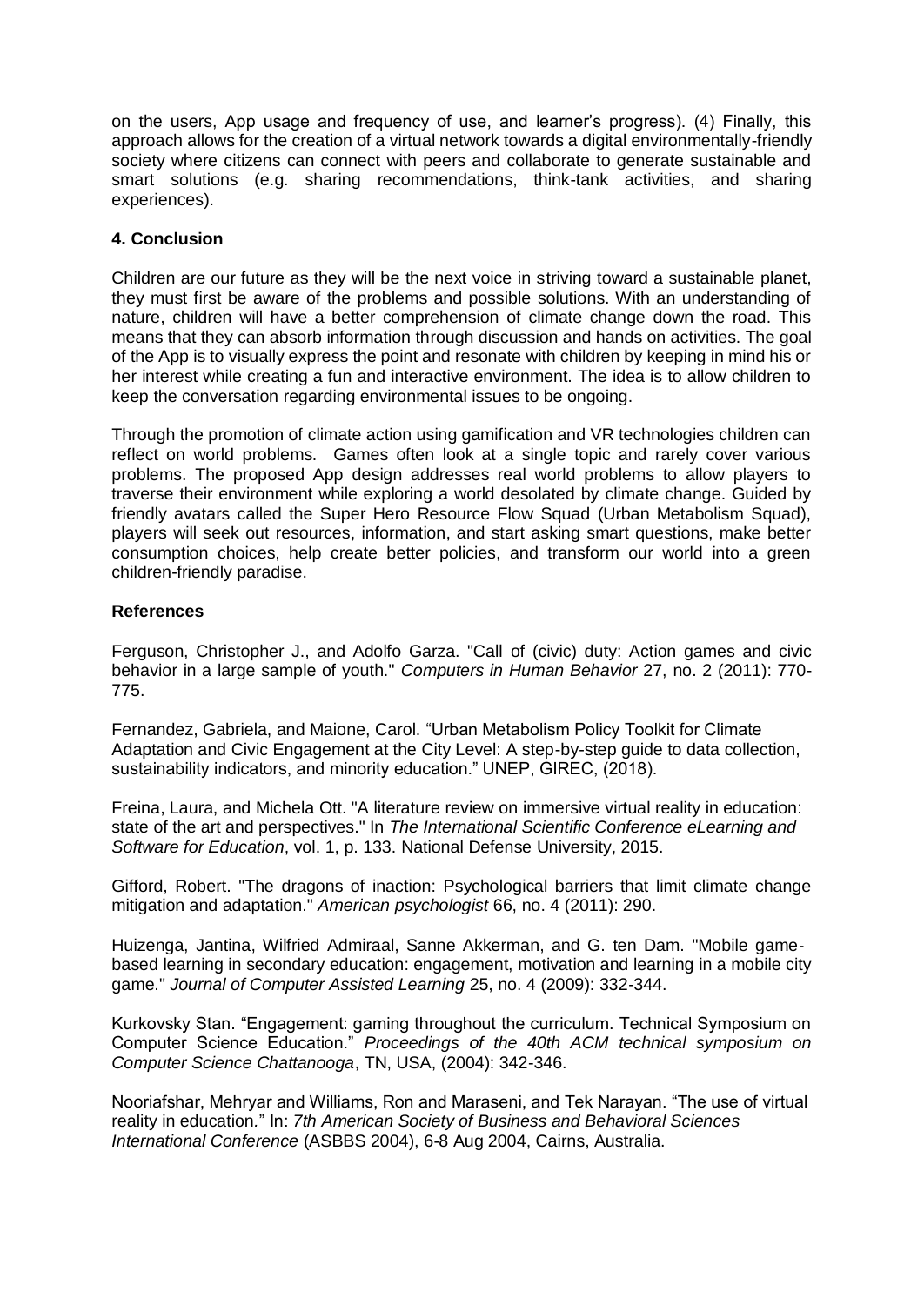on the users, App usage and frequency of use, and learner's progress). (4) Finally, this approach allows for the creation of a virtual network towards a digital environmentally-friendly society where citizens can connect with peers and collaborate to generate sustainable and smart solutions (e.g. sharing recommendations, think-tank activities, and sharing experiences).

### **4. Conclusion**

Children are our future as they will be the next voice in striving toward a sustainable planet, they must first be aware of the problems and possible solutions. With an understanding of nature, children will have a better comprehension of climate change down the road. This means that they can absorb information through discussion and hands on activities. The goal of the App is to visually express the point and resonate with children by keeping in mind his or her interest while creating a fun and interactive environment. The idea is to allow children to keep the conversation regarding environmental issues to be ongoing.

Through the promotion of climate action using gamification and VR technologies children can reflect on world problems. Games often look at a single topic and rarely cover various problems. The proposed App design addresses real world problems to allow players to traverse their environment while exploring a world desolated by climate change. Guided by friendly avatars called the Super Hero Resource Flow Squad (Urban Metabolism Squad), players will seek out resources, information, and start asking smart questions, make better consumption choices, help create better policies, and transform our world into a green children-friendly paradise.

### **References**

Ferguson, Christopher J., and Adolfo Garza. "Call of (civic) duty: Action games and civic behavior in a large sample of youth." *Computers in Human Behavior* 27, no. 2 (2011): 770- 775.

Fernandez, Gabriela, and Maione, Carol. "Urban Metabolism Policy Toolkit for Climate Adaptation and Civic Engagement at the City Level: A step-by-step guide to data collection, sustainability indicators, and minority education." UNEP, GIREC, (2018).

Freina, Laura, and Michela Ott. "A literature review on immersive virtual reality in education: state of the art and perspectives." In *The International Scientific Conference eLearning and Software for Education*, vol. 1, p. 133. National Defense University, 2015.

Gifford, Robert. "The dragons of inaction: Psychological barriers that limit climate change mitigation and adaptation." *American psychologist* 66, no. 4 (2011): 290.

Huizenga, Jantina, Wilfried Admiraal, Sanne Akkerman, and G. ten Dam. "Mobile game‐ based learning in secondary education: engagement, motivation and learning in a mobile city game." *Journal of Computer Assisted Learning* 25, no. 4 (2009): 332-344.

Kurkovsky Stan. "Engagement: gaming throughout the curriculum. Technical Symposium on Computer Science Education." *Proceedings of the 40th ACM technical symposium on Computer Science Chattanooga*, TN, USA, (2004): 342-346.

Nooriafshar, Mehryar and Williams, Ron and Maraseni, and Tek Narayan. "The use of virtual reality in education*.*" In: *7th American Society of Business and Behavioral Sciences International Conference* (ASBBS 2004), 6-8 Aug 2004, Cairns, Australia.